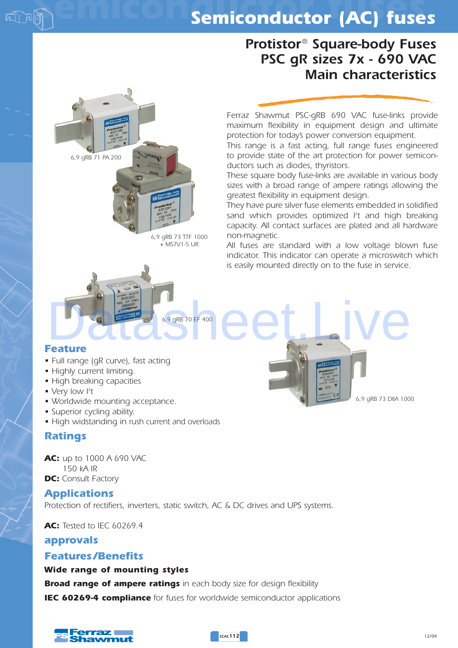## *Protistor® Square-body Fuses PSC gR sizes 7x - 690 VAC Main characteristics*

*Ferraz Shawmut PSC-gRB 690 VAC fuse-links provide maximum flexibility in equipment design and ultimate protection for today's power conversion equipment.*

*This range is a fast acting, full range fuses engineered to provide state of the art protection for power semiconductors such as diodes, thyristors.*

*These square body fuse-links are available in various body sizes with a broad range of ampere ratings allowing the greatest flexibility in equipment design.*

*They have pure silver fuse elements embedded in solidified sand which provides optimized I2 t and high breaking capacity. All contact surfaces are plated and all hardware non-magnetic.*

*All fuses are standard with a low voltage blown fuse indicator. This indicator can operate a microswitch which is easily mounted directly on to the fuse in service.* 

*6,9 gRB 73 DIIA 1000*

#### *Feature*

- *Full range (gR curve), fast acting*
- *Highly current limiting.*
- *High breaking capacities*

*6,9 gRB 71 PA 200*

- *Very low I2 t*
- *Worldwide mounting acceptance.*
- *Superior cycling ability.*
- *High widstanding in rush current and overloads*

#### *Ratings*

*AC: up to 1000 A 690 VAC 150 kA IR* **DC:** Consult Factory **IEC 60269-4 compliance of mounting styles**<br> **IEC 60269-4 compliance** *Complement* limiting acceptance.<br> **IEC 60269-4 compliance For Fuse for Semiconductor applications**<br> **IEC 60269-4 compliance semical serves for worldw** 

#### *Applications*

*Protection of rectifiers, inverters, static switch, AC & DC drives and UPS systems.*

*6,9 gRB 73 TTF 1000 + MS7V1-5 UR*

*6,9 gRB 70 EF 400*

*AC: Tested to IEC 60269.4* 

#### *approvals*

#### *Features /Benefits*

#### *Wide range of mounting styles*

*Broad range of ampere ratings in each body size for design flexibility*



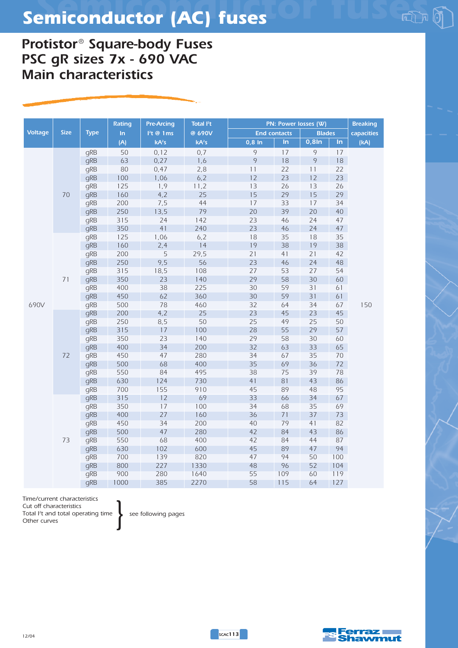## *Protistor® Square-body Fuses PSC gR sizes 7x - 690 VAC Main characteristics*

|                |             |             | <b>Rating</b> | <b>Pre-Arcing</b> | Total <sup>P</sup> t |          |                     | PN: Power losses (W) |     | <b>Breaking</b> |
|----------------|-------------|-------------|---------------|-------------------|----------------------|----------|---------------------|----------------------|-----|-----------------|
| <b>Voltage</b> | <b>Size</b> | <b>Type</b> | In            | $l2t$ @ 1ms       | @ 690V               |          | <b>End contacts</b> | <b>Blades</b>        |     | capacities      |
|                |             |             | (A)           | kA <sup>2</sup> S | kA <sup>2</sup> S    | $0,8$ In | $\ln$               | $0,8$ In             | In  | (kA)            |
|                |             | gRB         | 50            | 0,12              | 0,7                  | $\circ$  | 17                  | 9                    | 17  |                 |
|                |             | gRB         | 63            | 0,27              | 1,6                  | $\circ$  | 18                  | 9                    | 18  |                 |
|                |             | gRB         | 80            | 0,47              | 2,8                  | 11       | 22                  | 11                   | 22  |                 |
|                |             | qRB         | 100           | 1,06              | 6, 2                 | 12       | 23                  | 12                   | 23  |                 |
|                |             | gRB         | 125           | 1,9               | 11,2                 | 13       | 26                  | 13                   | 26  |                 |
|                | 70          | gRB         | 160           | 4,2               | 25                   | 15       | 29                  | 15                   | 29  |                 |
|                |             | gRB         | 200           | 7,5               | 44                   | 17       | 33                  | 17                   | 34  |                 |
|                |             | gRB         | 250           | 13,5              | 79                   | 20       | 39                  | 20                   | 40  |                 |
|                |             | gRB         | 315           | 24                | 142                  | 23       | 46                  | 24                   | 47  |                 |
|                |             | gRB         | 350           | 41                | 240                  | 23       | 46                  | 24                   | 47  |                 |
|                |             | gRB         | 125           | 1,06              | 6, 2                 | 18       | 35                  | 18                   | 35  |                 |
|                |             | gRB         | 160           | 2,4               | 14                   | 19       | 38                  | 19                   | 38  |                 |
|                |             | gRB         | 200           | 5                 | 29,5                 | 21       | 41                  | 21                   | 42  |                 |
|                |             | gRB         | 250           | 9,5               | 56                   | 23       | 46                  | 24                   | 48  |                 |
|                |             | qRB         | 315           | 18,5              | 108                  | 27       | 53                  | 27                   | 54  |                 |
|                | 71          | gRB         | 350           | 23                | 140                  | 29       | 58                  | 30                   | 60  |                 |
|                |             | gRB         | 400           | 38                | 225                  | 30       | 59                  | 31                   | 61  |                 |
|                |             | gRB         | 450           | 62                | 360                  | 30       | 59                  | 31                   | 61  |                 |
| 690V           |             | gRB         | 500           | 78                | 460                  | 32       | 64                  | 34                   | 67  | 150             |
|                |             | gRB         | 200           | 4,2               | 25                   | 23       | 45                  | 23                   | 45  |                 |
|                |             | gRB         | 250           | 8,5               | 50                   | 25       | 49                  | 25                   | 50  |                 |
|                |             | gRB         | 315           | 17                | 100                  | 28       | 55                  | 29                   | 57  |                 |
|                |             | gRB         | 350           | 23                | 140                  | 29       | 58                  | 30                   | 60  |                 |
|                |             | gRB         | 400           | 34                | 200                  | 32       | 63                  | 33                   | 65  |                 |
|                | 72          | gRB         | 450           | 47                | 280                  | 34       | 67                  | 35                   | 70  |                 |
|                |             | qRB         | 500           | 68                | 400                  | 35       | 69                  | 36                   | 72  |                 |
|                |             | gRB         | 550           | 84                | 495                  | 38       | 75                  | 39                   | 78  |                 |
|                |             | gRB         | 630           | 124               | 730                  | 41       | 81                  | 43                   | 86  |                 |
|                |             | qRB         | 700           | 155               | 910                  | 45       | 89                  | 48                   | 95  |                 |
|                |             | gRB         | 315           | 12                | 69                   | 33       | 66                  | 34                   | 67  |                 |
|                |             | qRB         | 350           | 17                | 100                  | 34       | 68                  | 35                   | 69  |                 |
|                |             | gRB         | 400           | 27                | 160                  | 36       | 71                  | 37                   | 73  |                 |
|                |             | gRB         | 450           | 34                | 200                  | 40       | 79                  | 41                   | 82  |                 |
|                |             | gRB         | 500           | 47                | 280                  | 42       | 84                  | 43                   | 86  |                 |
|                | 73          | qRB         | 550           | 68                | 400                  | 42       | 84                  | 44                   | 87  |                 |
|                |             | gRB         | 630           | 102               | 600                  | 45       | 89                  | 47                   | 94  |                 |
|                |             | gRB         | 700           | 139               | 820                  | 47       | 94                  | 50                   | 100 |                 |
|                |             | qRB         | 800           | 227               | 1330                 | 48       | 96                  | 52                   | 104 |                 |
|                |             | qRB         | 900           | 280               | 1640                 | 55       | 109                 | 60                   | 119 |                 |
|                |             | qRB         | 1000          | 385               | 2270                 | 58       | 115                 | 64                   | 127 |                 |

*Time/current characteristics Cut off characteristics Total I2 t and total operating time Other curves*

*see following pages }*

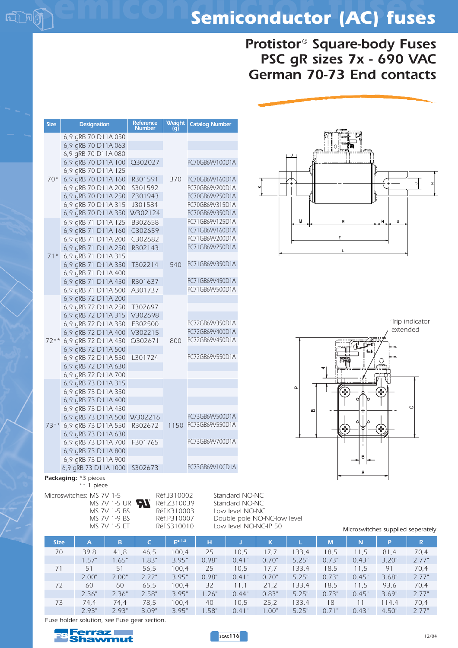## *Protistor® Square-body Fuses PSC gR sizes 7x - 690 VAC German 70-73 End contacts*

| <b>Size</b> | <b>Designation</b>                         | <b>Reference</b><br><b>Number</b> | Weight<br>lq | <b>Catalog Number</b> |
|-------------|--------------------------------------------|-----------------------------------|--------------|-----------------------|
|             | 6,9 gRB 70 D11A 050                        |                                   |              |                       |
|             | 6,9 gRB 70 D11A 063                        |                                   |              |                       |
|             | 6,9 gRB 70 D11A 080                        |                                   |              |                       |
|             | 6,9 gRB 70 D11A 100                        | Q302027                           |              | PC70GB69V100D1A       |
|             | 6,9 qRB 70 D11A 125                        |                                   |              |                       |
| $70*$       | 6,9 gRB 70 D11A 160                        | R301591                           | 370          | PC70GB69V160D1A       |
|             | 6,9 qRB 70 D11A 200                        | S301592                           |              | PC70GB69V200D1A       |
|             | 6,9 gRB 70 D11A 250                        | Z301943                           |              | PC70GB69V250D1A       |
|             | 6,9 gRB 70 D11A 315                        | J301584                           |              | PC70GB69V315D1A       |
|             | 6,9 gRB 70 D11A 350                        | W302124                           |              | PC70GB69V350D1A       |
|             | 6,9 gRB 71 D11A 125                        | B302658                           |              | PC71GB69V125D1A       |
|             | 6,9 gRB 71 D11A 160                        | C302659                           |              | PC71GB69V160D1A       |
|             | 6,9 gRB 71 D11A 200                        | C302682                           |              | PC71GB69V200D1A       |
|             | 6,9 gRB 71 D11A 250                        | R302143                           |              | PC71GB69V250D1A       |
| $71*$       | 6,9 qRB 71 D11A 315                        |                                   |              | PC71GB69V350D1A       |
|             | 6,9 qRB 71 D11A 350                        | T302214                           | 540          |                       |
|             | 6,9 gRB 71 D11A 400                        |                                   |              | PC71GB69V450D1A       |
|             | 6,9 gRB 71 D11A 450                        | R301637                           |              | PC71GB69V500D1A       |
|             | 6,9 gRB 71 D11A 500<br>6,9 gRB 72 D11A 200 | A301737                           |              |                       |
|             | 6,9 gRB 72 D11A 250                        |                                   |              |                       |
|             | 6,9 gRB 72 D11A 315                        | T302697<br>V302698                |              |                       |
|             | 6,9 gRB 72 D11A 350                        | E302500                           |              | PC72GB69V350D1A       |
|             | 6,9 qRB 72 D11A 400                        | V302215                           |              | PC72GB69V400D1A       |
|             | 72** 6,9 gRB 72 D11A 450                   | Q302671                           | 800          | PC72GB69V450D1A       |
|             | 6,9 gRB 72 D11A 500                        |                                   |              |                       |
|             | 6,9 gRB 72 D11A 550                        | L301724                           |              | PC72GB69V550D1A       |
|             | 6,9 gRB 72 D11A 630                        |                                   |              |                       |
|             | 6,9 gRB 72 D11A 700                        |                                   |              |                       |
|             | 6,9 gRB 73 D11A 315                        |                                   |              |                       |
|             | 6,9 qRB 73 D11A 350                        |                                   |              |                       |
|             | 6,9 gRB 73 D11A 400                        |                                   |              |                       |
|             | 6,9 gRB 73 D11A 450                        |                                   |              |                       |
|             | 6,9 gRB 73 D11A 500                        | W302216                           |              | PC73GB69V500D1A       |
|             | 73** 6,9 gRB 73 D11A 550                   | R302672                           |              | 1150 PC73GB69V550D1A  |
|             | 6,9 qRB 73 D11A 630                        |                                   |              |                       |
|             | 6,9 qRB 73 D11A 700                        | F301765                           |              | PC73GB69V700D1A       |
|             | 6,9 gRB 73 D11A 800                        |                                   |              |                       |
|             | 6,9 gRB 73 D11A 900                        |                                   |              |                       |
|             | 6,9 gRB 73 D11A 1000                       | S302673                           |              | PC73GB69V10CD1A       |



extended *extended*

6

Trip indicator *Trip indicator*

#### *Packaging: \*3 pieces*

ட

*\*\* 1 piece*

**MS 7V 1-5 UR<br>MS 7V 1-5 BS** 

| Réf. 1310002 |
|--------------|
| Réf.Z310039  |
| Réf. K310003 |
| Réf.P310007  |
| Réf.S310010  |

*Microswitches: MS 7V 1-5* Réf.J310002 Standard NO-NC<br>MS 7V 1-5 UR **Ref.**Z310039 Standard NO-NC *MS 7V 1-5 BS Réf.K310003 Low level NO-NC MS 7V 1-9 BS Réf.P310007 Double pole NO-NC-low level*

 $\alpha$ 

 $\sigma$ 

|             |                | IVIS 7 V 1-5 EI |       | RET.S3TUUTU   | LOW IEVEI INU-INC-IP 50<br>Microswitches supplied seperately |       |       |       |       |       |       |             |
|-------------|----------------|-----------------|-------|---------------|--------------------------------------------------------------|-------|-------|-------|-------|-------|-------|-------------|
| <b>Size</b> | $\overline{A}$ | B               |       | $E^{\pm 1,3}$ | н                                                            |       | K     |       | M     | N     | P     | $\mathsf R$ |
| 70          | 39,8           | 41,8            | 46.5  | 100.4         | 25                                                           | 10,5  | 17.7  | 133,4 | 18,5  | 11.5  | 81.4  | 70,4        |
|             | 1.57"          | 1.65"           | 1.83" | 3.95"         | 0.98"                                                        | 0.41" | 0.70" | 5.25" | 0.73" | 0.43" | 3.20" | 2.77"       |
| 71          | 51             | 51              | 56.5  | 100.4         | 25                                                           | 10,5  | 17,7  | 133,4 | 18,5  | 11.5  | 91    | 70,4        |
|             | 2.00"          | 2.00"           | 2.22" | 3.95"         | 0.98"                                                        | 0.41" | 0.70" | 5.25" | 0.73" | 0.45" | 3.68" | 2.77"       |
| 72          | 60             | 60              | 65,5  | 100.4         | 32                                                           | 11.1  | 21,2  | 133,4 | 18,5  | 11.5  | 93,6  | 70,4        |
|             | 2.36"          | 2.36"           | 2.58" | 3.95"         | .26"                                                         | 0.44" | 0.83" | 5.25" | 0.73" | 0.45" | 3.69" | 2.77"       |
| 73          | 74.4           | 74.4            | 78,5  | 100,4         | 40                                                           | 10,5  | 25,2  | 133,4 | 18    | 11    | 114.4 | 70,4        |
|             | 2.93"          | 2.93"           | 3.09" | 3.95"         | .58"                                                         | 0.41" | 1.00" | 5.25" | 0.71" | 0.43" | 4.50" | 2.77"       |

*Fuse holder solution, see Fuse gear section.*



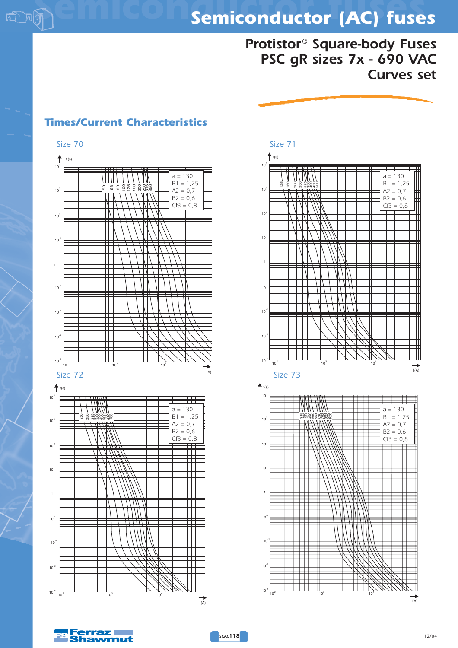*Protistor® Square-body Fuses PSC gR sizes 7x - 690 VAC Curves set*



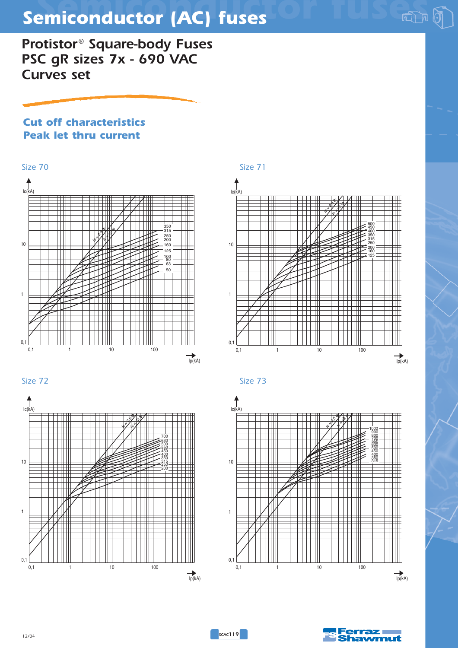*Protistor® Square-body Fuses PSC gR sizes 7x - 690 VAC Curves set*

### *Cut off characteristics Peak let thru current*















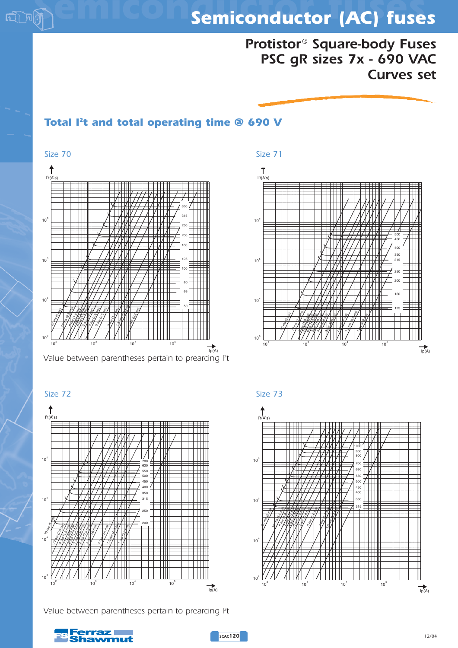

## *Protistor® Square-body Fuses PSC gR sizes 7x - 690 VAC Curves set*

### *Total I2t and total operating time @ 690 V*



*Value between parentheses pertain to prearcing I2 t*



*Value between parentheses pertain to prearcing I2 t*





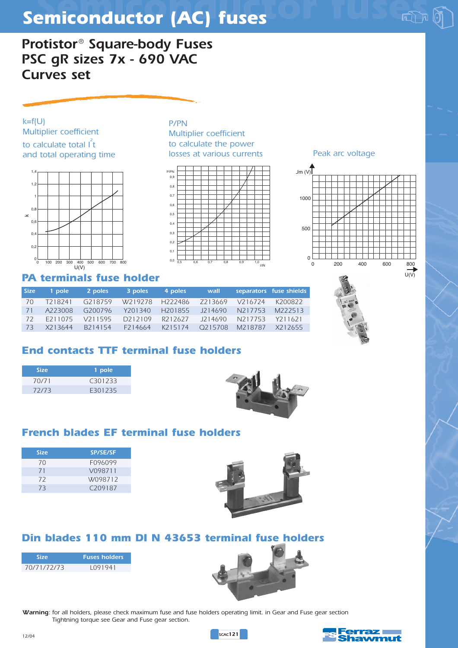*Protistor® Square-body Fuses PSC gR sizes 7x - 690 VAC Curves set*

*k=f(U) Multiplier coefficient* to calculate total l<sup>2</sup>t *and total operating time* 



### *PA terminals fuse holder*

| <b>Size</b> | 1 pole               | 2 poles              | 3 poles | 4 poles             | wall    |            | separators fuse shields |
|-------------|----------------------|----------------------|---------|---------------------|---------|------------|-------------------------|
| 70          | T <sub>2</sub> 18241 | G218759              |         | W219278 H222486     | Z213669 | $V$ 216724 | K200822                 |
| 71          | A223008              | G200796              | Y201340 | H <sub>201855</sub> | J214690 | N217753    | M222513                 |
| 72          | F211075              | V211595              | D212109 | R212627             | J214690 | N217753    | Y211621                 |
| 73          | X213644              | B <sub>2</sub> 14154 | F214664 | K215174             | O215708 | M218787    | X212655                 |
|             |                      |                      |         |                     |         |            |                         |

 $0.0$  $0,1$  $0.2$ 0,3  $0.4$  $0.5$  $\overline{0}$  $0.7$ 0,8 0,9

*P/PN*

P/PN

*Multiplier coefficient to calculate the power*

0,6 0,7 0,8 0,9 1,0<br>I/IN

### *End contacts TTF terminal fuse holders*

| <b>Size</b> | 1 pole              |
|-------------|---------------------|
| 70/71       | C <sub>301233</sub> |
| 72/73       | E301235             |



### *French blades EF terminal fuse holders*

| <b>Size</b> | <b>SP/SE/SF</b>     |
|-------------|---------------------|
| 70          | F096099             |
| 71          | V098711             |
| 72          | W098712             |
| 73          | C <sub>209187</sub> |



### *Din blades 110 mm DI N 43653 terminal fuse holders*

| <b>Size</b> | <b>Fuses holders</b> |
|-------------|----------------------|
| 70/71/72/73 | 1091941              |



*Warning: for all holders, please check maximum fuse and fuse holders operating limit. in Gear and Fuse gear section Tightning torque see Gear and Fuse gear section.*





*losses at various currents Peak arc voltage*

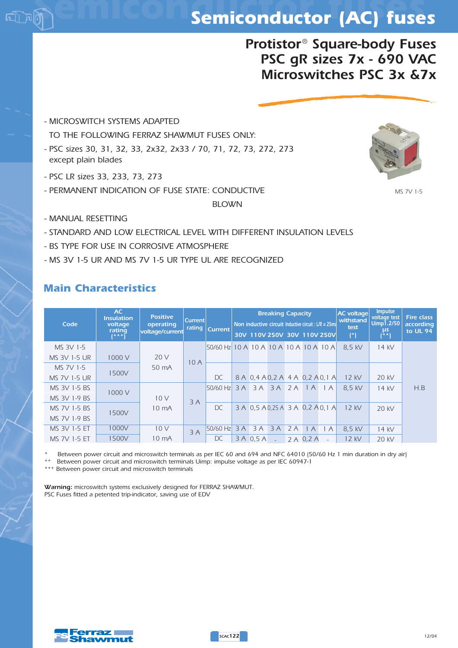## *Protistor® Square-body Fuses PSC gR sizes 7x - 690 VAC Microswitches PSC 3x &7x*

- *MICROSWITCH SYSTEMS ADAPTED TO THE FOLLOWING FERRAZ SHAWMUT FUSES ONLY: - PSC sizes 30, 31, 32, 33, 2x32, 2x33 / 70, 71, 72, 73, 272, 273 except plain blades*
- *PSC LR sizes 33, 233, 73, 273*
- *PERMANENT INDICATION OF FUSE STATE: CONDUCTIVE*

#### *BLOWN*

- *MANUAL RESETTING*
- *STANDARD AND LOW ELECTRICAL LEVEL WITH DIFFERENT INSULATION LEVELS*
- *BS TYPE FOR USE IN CORROSIVE ATMOSPHERE*
- *MS 3V 1-5 UR AND MS 7V 1-5 UR TYPE UL ARE RECOGNIZED*

#### *Main Characteristics*

| Code                | AC.<br><b>Insulation</b><br>voltage<br>rating<br>$1***1$ | <b>Positive</b><br>operating<br>voltage/current | <b>Current</b><br><b>rating</b> | <b>Current</b>                         |    | Non inductive circuit Inductive circuit : $L/R = 25$ ms<br>30V 110V 250V 30V 110V 250V | <b>Breaking Capacity</b> |    |           |     | <b>AC</b> voltage<br>withstand<br>test<br>$(*)$ | <b>Impulse</b><br>voltage test<br><b>Uimp1.2/50</b><br>μs<br>$(* \ast)$ | <b>Fire class</b><br>according<br>to UL 94 |
|---------------------|----------------------------------------------------------|-------------------------------------------------|---------------------------------|----------------------------------------|----|----------------------------------------------------------------------------------------|--------------------------|----|-----------|-----|-------------------------------------------------|-------------------------------------------------------------------------|--------------------------------------------|
| MS 3V 1-5           |                                                          |                                                 |                                 | 50/60 Hz 10 A 10 A 10 A 10 A 10 A 10 A |    |                                                                                        |                          |    |           |     | 8.5 kV                                          | 14 kV                                                                   |                                            |
| MS 3V 1-5 UR        | 1000 V                                                   | 20 V                                            | 10A                             |                                        |    |                                                                                        |                          |    |           |     |                                                 |                                                                         |                                            |
| MS 7V 1-5           |                                                          | 50 mA                                           |                                 |                                        |    |                                                                                        |                          |    |           |     |                                                 |                                                                         |                                            |
| <b>MS 7V 1-5 UR</b> | 1500V                                                    |                                                 |                                 | DC                                     |    | 8 A 0,4 A 0,2 A 4 A 0,2 A 0,1 A                                                        |                          |    |           |     | 12 kV                                           | 20 kV                                                                   |                                            |
| MS 3V 1-5 BS        | 1000 V                                                   |                                                 |                                 | $50/60$ Hz                             | 3A |                                                                                        | 3A 3A 2A                 |    | 1A        | 1 A | 8.5 kV                                          | 14 kV                                                                   | H.B                                        |
| MS 3V 1-9 BS        |                                                          | 10V                                             | 3A                              |                                        |    |                                                                                        |                          |    |           |     |                                                 |                                                                         |                                            |
| MS 7V 1-5 BS        | 1500V                                                    | 10 mA                                           |                                 | DC                                     |    | 3 A 0,5 A 0,25 A 3 A 0,2 A 0,1 A                                                       |                          |    |           |     | 12 kV                                           | 20 kV                                                                   |                                            |
| MS 7V 1-9 BS        |                                                          |                                                 |                                 |                                        |    |                                                                                        |                          |    |           |     |                                                 |                                                                         |                                            |
| MS 3V 1-5 ET        | 1000V                                                    | 10V                                             | 3A                              | 50/60 Hz                               | 3A | 3A                                                                                     | 3A                       | 2A | 1A        | 1A  | 8,5 kV                                          | 14 kV                                                                   |                                            |
| MS 7V 1-5 ET        | 1500V                                                    | 10 mA                                           |                                 | DC                                     |    | 3 A 0.5 A                                                                              | $\mathcal{L}$            |    | 2 A 0.2 A |     | 12 kV                                           | $20$ kV                                                                 |                                            |

*\* Between power circuit and microswitch terminals as per IEC 60 and 694 and NFC 64010 (50/60 Hz 1 min duration in dry air)*

*\*\* Between power circuit and microswitch terminals Uimp: impulse voltage as per IEC 60947-1*

*\*\*\* Between power circuit and microswitch terminals*

*Warning: microswitch systems exclusively designed for FERRAZ SHAWMUT. PSC Fuses fitted a petented trip-indicator, saving use of EDV*



*MS 7V 1-5*